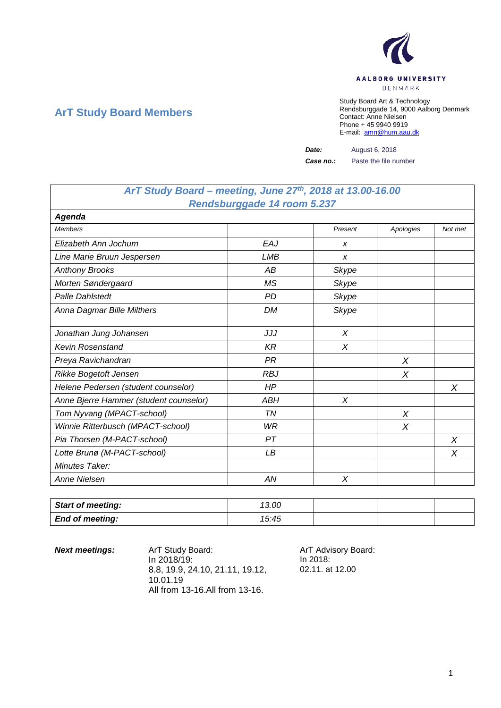

## **ArT Study Board Members**

Study Board Art & Technology Rendsburggade 14, 9000 Aalborg Denmark Contact: Anne Nielsen Phone + 45 9940 9919 E-mail: [amn@hum.aau.dk](mailto:amn@hum.aau.dk)

*Date:* August 6, 2018

*Case no.:* Paste the file number

## *ArT Study Board – meeting, June 27th, 2018 at 13.00-16.00 Rendsburggade 14 room 5.237*

| Agenda                                 |            |         |           |         |
|----------------------------------------|------------|---------|-----------|---------|
| <b>Members</b>                         |            | Present | Apologies | Not met |
| Elizabeth Ann Jochum                   | EAJ        | X       |           |         |
| Line Marie Bruun Jespersen             | <b>LMB</b> | X       |           |         |
| <b>Anthony Brooks</b>                  | AB         | Skype   |           |         |
| Morten Søndergaard                     | MS         | Skype   |           |         |
| <b>Palle Dahlstedt</b>                 | <b>PD</b>  | Skype   |           |         |
| Anna Dagmar Bille Milthers             | <b>DM</b>  | Skype   |           |         |
| Jonathan Jung Johansen                 | JJJ        | X       |           |         |
| <b>Kevin Rosenstand</b>                | <b>KR</b>  | X       |           |         |
| Preya Ravichandran                     | <b>PR</b>  |         | $\chi$    |         |
| Rikke Bogetoft Jensen                  | <b>RBJ</b> |         | X         |         |
| Helene Pedersen (student counselor)    | HP         |         |           | X       |
| Anne Bjerre Hammer (student counselor) | ABH        | X       |           |         |
| Tom Nyvang (MPACT-school)              | ΤN         |         | X         |         |
| Winnie Ritterbusch (MPACT-school)      | <b>WR</b>  |         | $\chi$    |         |
| Pia Thorsen (M-PACT-school)            | PT         |         |           | X       |
| Lotte Brunø (M-PACT-school)            | LВ         |         |           | X       |
| Minutes Taker:                         |            |         |           |         |
| <b>Anne Nielsen</b>                    | AN         | X       |           |         |

| <b>Start of meeting:</b> | 13.00 |  |  |
|--------------------------|-------|--|--|
| <b>End of meeting:</b>   | 15:45 |  |  |

**Next meetings:** ArT Study Board: ArT Advisory Board: In 2018/19: 8.8, 19.9, 24.10, 21.11, 19.12, 10.01.19 All from 13-16.All from 13-16.

In 2018: 02.11. at 12.00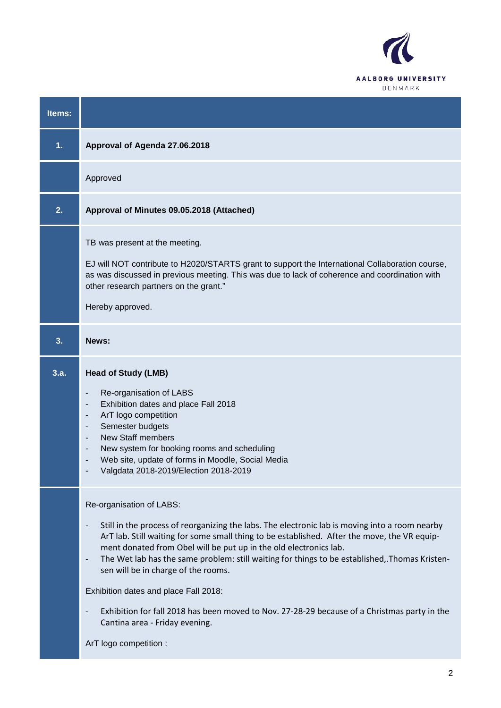

| Items: |                                                                                                                                                                                                                                                                                                                                                                                                                                                                                                                                                                                                                                                                |
|--------|----------------------------------------------------------------------------------------------------------------------------------------------------------------------------------------------------------------------------------------------------------------------------------------------------------------------------------------------------------------------------------------------------------------------------------------------------------------------------------------------------------------------------------------------------------------------------------------------------------------------------------------------------------------|
| 1.     | Approval of Agenda 27.06.2018                                                                                                                                                                                                                                                                                                                                                                                                                                                                                                                                                                                                                                  |
|        | Approved                                                                                                                                                                                                                                                                                                                                                                                                                                                                                                                                                                                                                                                       |
| 2.     | Approval of Minutes 09.05.2018 (Attached)                                                                                                                                                                                                                                                                                                                                                                                                                                                                                                                                                                                                                      |
|        | TB was present at the meeting.<br>EJ will NOT contribute to H2020/STARTS grant to support the International Collaboration course,<br>as was discussed in previous meeting. This was due to lack of coherence and coordination with<br>other research partners on the grant."<br>Hereby approved.                                                                                                                                                                                                                                                                                                                                                               |
| 3.     | News:                                                                                                                                                                                                                                                                                                                                                                                                                                                                                                                                                                                                                                                          |
| 3.a.   | <b>Head of Study (LMB)</b><br>Re-organisation of LABS<br>Exhibition dates and place Fall 2018<br>ArT logo competition<br>Semester budgets<br><b>New Staff members</b><br>New system for booking rooms and scheduling<br>Web site, update of forms in Moodle, Social Media<br>Valgdata 2018-2019/Election 2018-2019                                                                                                                                                                                                                                                                                                                                             |
|        | Re-organisation of LABS:<br>Still in the process of reorganizing the labs. The electronic lab is moving into a room nearby<br>ArT lab. Still waiting for some small thing to be established. After the move, the VR equip-<br>ment donated from Obel will be put up in the old electronics lab.<br>The Wet lab has the same problem: still waiting for things to be established, Thomas Kristen-<br>$\blacksquare$<br>sen will be in charge of the rooms.<br>Exhibition dates and place Fall 2018:<br>Exhibition for fall 2018 has been moved to Nov. 27-28-29 because of a Christmas party in the<br>Cantina area - Friday evening.<br>ArT logo competition : |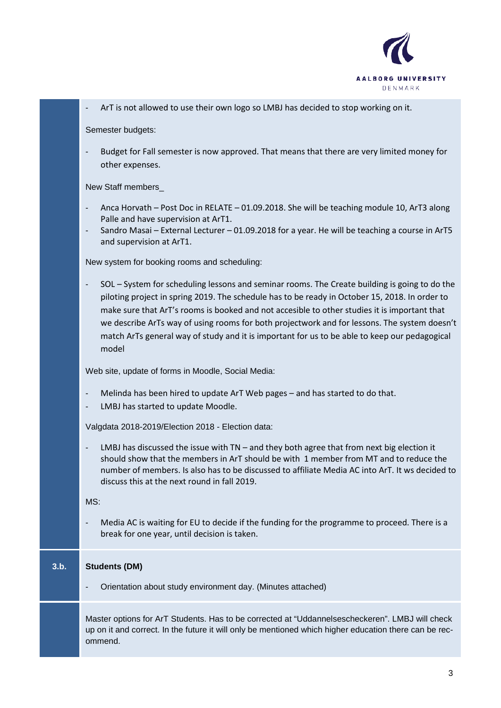

- ArT is not allowed to use their own logo so LMBJ has decided to stop working on it.

Semester budgets:

- Budget for Fall semester is now approved. That means that there are very limited money for other expenses.

New Staff members\_

- Anca Horvath Post Doc in RELATE 01.09.2018. She will be teaching module 10, ArT3 along Palle and have supervision at ArT1.
- Sandro Masai External Lecturer 01.09.2018 for a year. He will be teaching a course in ArT5 and supervision at ArT1.

New system for booking rooms and scheduling:

- SOL – System for scheduling lessons and seminar rooms. The Create building is going to do the piloting project in spring 2019. The schedule has to be ready in October 15, 2018. In order to make sure that ArT's rooms is booked and not accesible to other studies it is important that we describe ArTs way of using rooms for both projectwork and for lessons. The system doesn't match ArTs general way of study and it is important for us to be able to keep our pedagogical model

Web site, update of forms in Moodle, Social Media:

- Melinda has been hired to update ArT Web pages and has started to do that.
- LMBJ has started to update Moodle.

Valgdata 2018-2019/Election 2018 - Election data:

LMBJ has discussed the issue with  $TN -$  and they both agree that from next big election it should show that the members in ArT should be with 1 member from MT and to reduce the number of members. Is also has to be discussed to affiliate Media AC into ArT. It ws decided to discuss this at the next round in fall 2019.

MS:

Media AC is waiting for EU to decide if the funding for the programme to proceed. There is a break for one year, until decision is taken.

## **3.b. Students (DM)**

- Orientation about study environment day. (Minutes attached)

Master options for ArT Students. Has to be corrected at "Uddannelsescheckeren". LMBJ will check up on it and correct. In the future it will only be mentioned which higher education there can be recommend.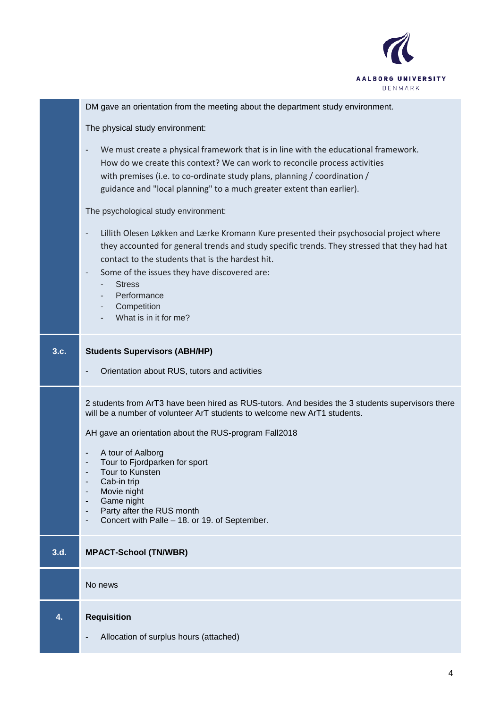

|      | DM gave an orientation from the meeting about the department study environment.                                                                                                                                                                                                                                                                                                                                                                                      |
|------|----------------------------------------------------------------------------------------------------------------------------------------------------------------------------------------------------------------------------------------------------------------------------------------------------------------------------------------------------------------------------------------------------------------------------------------------------------------------|
|      | The physical study environment:                                                                                                                                                                                                                                                                                                                                                                                                                                      |
|      | We must create a physical framework that is in line with the educational framework.<br>$\overline{\phantom{a}}$<br>How do we create this context? We can work to reconcile process activities<br>with premises (i.e. to co-ordinate study plans, planning / coordination /<br>guidance and "local planning" to a much greater extent than earlier).                                                                                                                  |
|      | The psychological study environment:                                                                                                                                                                                                                                                                                                                                                                                                                                 |
|      | Lillith Olesen Løkken and Lærke Kromann Kure presented their psychosocial project where<br>they accounted for general trends and study specific trends. They stressed that they had hat<br>contact to the students that is the hardest hit.<br>Some of the issues they have discovered are:<br>$\overline{\phantom{a}}$<br><b>Stress</b><br>Performance<br>Competition<br>٠<br>What is in it for me?                                                                 |
| 3.c. | <b>Students Supervisors (ABH/HP)</b>                                                                                                                                                                                                                                                                                                                                                                                                                                 |
|      | Orientation about RUS, tutors and activities                                                                                                                                                                                                                                                                                                                                                                                                                         |
|      | 2 students from ArT3 have been hired as RUS-tutors. And besides the 3 students supervisors there<br>will be a number of volunteer ArT students to welcome new ArT1 students.<br>AH gave an orientation about the RUS-program Fall2018<br>A tour of Aalborg<br>$\overline{\phantom{a}}$<br>Tour to Fjordparken for sport<br>Tour to Kunsten<br>Cab-in trip<br>Movie night<br>Game night<br>Party after the RUS month<br>Concert with Palle - 18. or 19. of September. |
| 3.d. | <b>MPACT-School (TN/WBR)</b>                                                                                                                                                                                                                                                                                                                                                                                                                                         |
|      | No news                                                                                                                                                                                                                                                                                                                                                                                                                                                              |
| 4.   | <b>Requisition</b><br>Allocation of surplus hours (attached)                                                                                                                                                                                                                                                                                                                                                                                                         |